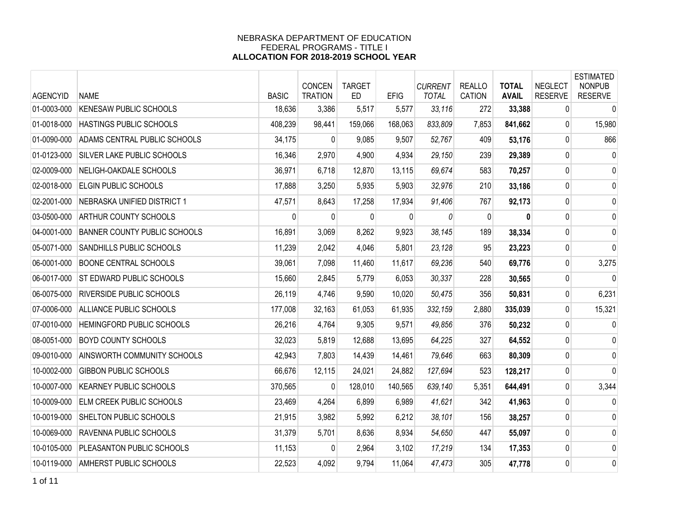| <b>AGENCYID</b> | <b>NAME</b>                     | <b>BASIC</b> | CONCEN<br><b>TRATION</b> | <b>TARGET</b><br><b>ED</b> | <b>EFIG</b>  | <b>CURRENT</b><br><b>TOTAL</b> | <b>REALLO</b><br><b>CATION</b> | <b>TOTAL</b><br><b>AVAIL</b> | <b>NEGLECT</b><br><b>RESERVE</b> | <b>ESTIMATED</b><br><b>NONPUB</b><br><b>RESERVE</b> |
|-----------------|---------------------------------|--------------|--------------------------|----------------------------|--------------|--------------------------------|--------------------------------|------------------------------|----------------------------------|-----------------------------------------------------|
| 01-0003-000     | KENESAW PUBLIC SCHOOLS          | 18,636       | 3,386                    | 5,517                      | 5,577        | 33,116                         | 272                            | 33,388                       | 0                                | $\mathbf 0$                                         |
| 01-0018-000     | HASTINGS PUBLIC SCHOOLS         | 408,239      | 98,441                   | 159,066                    | 168,063      | 833,809                        | 7,853                          | 841,662                      | $\mathbf{0}$                     | 15,980                                              |
| 01-0090-000     | ADAMS CENTRAL PUBLIC SCHOOLS    | 34,175       | 0                        | 9,085                      | 9,507        | 52,767                         | 409                            | 53,176                       | $\overline{0}$                   | 866                                                 |
| 01-0123-000     | SILVER LAKE PUBLIC SCHOOLS      | 16,346       | 2,970                    | 4,900                      | 4,934        | 29,150                         | 239                            | 29,389                       | $\mathbf 0$                      | 0                                                   |
| 02-0009-000     | NELIGH-OAKDALE SCHOOLS          | 36,971       | 6,718                    | 12,870                     | 13,115       | 69,674                         | 583                            | 70,257                       | 0                                | 0                                                   |
| 02-0018-000     | <b>ELGIN PUBLIC SCHOOLS</b>     | 17,888       | 3,250                    | 5,935                      | 5,903        | 32,976                         | 210                            | 33,186                       | 0                                | 0                                                   |
| 02-2001-000     | NEBRASKA UNIFIED DISTRICT 1     | 47,571       | 8,643                    | 17,258                     | 17,934       | 91,406                         | 767                            | 92,173                       | $\mathbf 0$                      | $\mathbf 0$                                         |
| 03-0500-000     | ARTHUR COUNTY SCHOOLS           | $\mathbf{0}$ | $\mathbf{0}$             | $\mathbf{0}$               | $\mathbf{0}$ | 0                              | $\mathbf{0}$                   | 0                            | 0                                | 0                                                   |
| 04-0001-000     | BANNER COUNTY PUBLIC SCHOOLS    | 16,891       | 3,069                    | 8,262                      | 9,923        | 38,145                         | 189                            | 38,334                       | 0                                | $\mathbf 0$                                         |
| 05-0071-000     | SANDHILLS PUBLIC SCHOOLS        | 11,239       | 2,042                    | 4,046                      | 5,801        | 23,128                         | 95                             | 23,223                       | $\mathbf 0$                      | $\mathbf 0$                                         |
| 06-0001-000     | <b>BOONE CENTRAL SCHOOLS</b>    | 39,061       | 7,098                    | 11,460                     | 11,617       | 69,236                         | 540                            | 69,776                       | $\mathbf 0$                      | 3,275                                               |
| 06-0017-000     | <b>ST EDWARD PUBLIC SCHOOLS</b> | 15,660       | 2,845                    | 5,779                      | 6,053        | 30,337                         | 228                            | 30,565                       | $\mathbf 0$                      | $\mathbf{0}$                                        |
| 06-0075-000     | RIVERSIDE PUBLIC SCHOOLS        | 26,119       | 4,746                    | 9,590                      | 10,020       | 50,475                         | 356                            | 50,831                       | $\mathbf{0}$                     | 6,231                                               |
| 07-0006-000     | ALLIANCE PUBLIC SCHOOLS         | 177,008      | 32,163                   | 61,053                     | 61,935       | 332,159                        | 2,880                          | 335,039                      | 0                                | 15,321                                              |
| 07-0010-000     | HEMINGFORD PUBLIC SCHOOLS       | 26,216       | 4,764                    | 9,305                      | 9,571        | 49,856                         | 376                            | 50,232                       | $\mathbf 0$                      | 0                                                   |
| 08-0051-000     | <b>BOYD COUNTY SCHOOLS</b>      | 32,023       | 5,819                    | 12,688                     | 13,695       | 64,225                         | 327                            | 64,552                       | 0                                | 0                                                   |
| 09-0010-000     | AINSWORTH COMMUNITY SCHOOLS     | 42,943       | 7,803                    | 14,439                     | 14,461       | 79,646                         | 663                            | 80,309                       | 0                                | 0                                                   |
| 10-0002-000     | <b>GIBBON PUBLIC SCHOOLS</b>    | 66,676       | 12,115                   | 24,021                     | 24,882       | 127,694                        | 523                            | 128,217                      | $\mathbf 0$                      | $\mathbf 0$                                         |
| 10-0007-000     | <b>KEARNEY PUBLIC SCHOOLS</b>   | 370,565      | 0                        | 128,010                    | 140,565      | 639,140                        | 5,351                          | 644,491                      | $\mathbf 0$                      | 3,344                                               |
| 10-0009-000     | ELM CREEK PUBLIC SCHOOLS        | 23,469       | 4,264                    | 6,899                      | 6,989        | 41,621                         | 342                            | 41,963                       | 0                                | $\mathbf 0$                                         |
| 10-0019-000     | SHELTON PUBLIC SCHOOLS          | 21,915       | 3,982                    | 5,992                      | 6,212        | 38,101                         | 156                            | 38,257                       | $\mathbf{0}$                     | 0                                                   |
| 10-0069-000     | RAVENNA PUBLIC SCHOOLS          | 31,379       | 5,701                    | 8,636                      | 8,934        | 54,650                         | 447                            | 55,097                       | $\pmb{0}$                        | $\mathbf 0$                                         |
| 10-0105-000     | PLEASANTON PUBLIC SCHOOLS       | 11,153       | 0                        | 2,964                      | 3,102        | 17,219                         | 134                            | 17,353                       | 0                                | 0                                                   |
| 10-0119-000     | AMHERST PUBLIC SCHOOLS          | 22,523       | 4,092                    | 9,794                      | 11,064       | 47,473                         | 305                            | 47,778                       | 0                                | $\mathbf 0$                                         |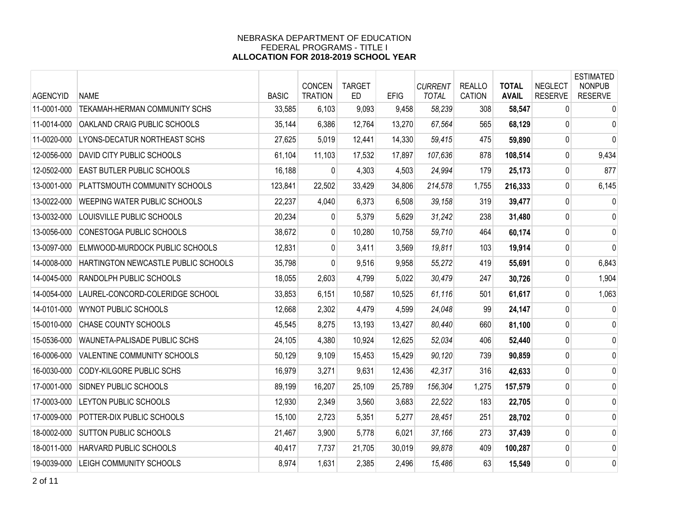| <b>AGENCYID</b> | <b>NAME</b>                           | <b>BASIC</b> | CONCEN<br><b>TRATION</b> | <b>TARGET</b><br>ED | <b>EFIG</b> | <b>CURRENT</b><br><b>TOTAL</b> | <b>REALLO</b><br><b>CATION</b> | <b>TOTAL</b><br><b>AVAIL</b> | <b>NEGLECT</b><br><b>RESERVE</b> | <b>ESTIMATED</b><br><b>NONPUB</b><br><b>RESERVE</b> |
|-----------------|---------------------------------------|--------------|--------------------------|---------------------|-------------|--------------------------------|--------------------------------|------------------------------|----------------------------------|-----------------------------------------------------|
| 11-0001-000     | TEKAMAH-HERMAN COMMUNITY SCHS         | 33,585       | 6,103                    | 9,093               | 9,458       | 58,239                         | 308                            | 58,547                       | $\mathbf{0}$                     | $\mathbf 0$                                         |
| 11-0014-000     | OAKLAND CRAIG PUBLIC SCHOOLS          | 35,144       | 6,386                    | 12,764              | 13,270      | 67,564                         | 565                            | 68,129                       | $\mathbf{0}$                     | 0                                                   |
| 11-0020-000     | LYONS-DECATUR NORTHEAST SCHS          | 27,625       | 5,019                    | 12,441              | 14,330      | 59,415                         | 475                            | 59,890                       | $\mathbf 0$                      | $\mathbf{0}$                                        |
| 12-0056-000     | <b>DAVID CITY PUBLIC SCHOOLS</b>      | 61,104       | 11,103                   | 17,532              | 17,897      | 107,636                        | 878                            | 108,514                      | 0                                | 9,434                                               |
| 12-0502-000     | <b>EAST BUTLER PUBLIC SCHOOLS</b>     | 16,188       | 0                        | 4,303               | 4,503       | 24,994                         | 179                            | 25,173                       | $\Omega$                         | 877                                                 |
| 13-0001-000     | PLATTSMOUTH COMMUNITY SCHOOLS         | 123,841      | 22,502                   | 33,429              | 34,806      | 214,578                        | 1,755                          | 216,333                      | $\mathbf{0}$                     | 6,145                                               |
| 13-0022-000     | WEEPING WATER PUBLIC SCHOOLS          | 22,237       | 4,040                    | 6,373               | 6,508       | 39,158                         | 319                            | 39,477                       | $\mathbf 0$                      | $\mathbf 0$                                         |
| 13-0032-000     | LOUISVILLE PUBLIC SCHOOLS             | 20,234       | 0                        | 5,379               | 5,629       | 31,242                         | 238                            | 31,480                       | 0                                | 0                                                   |
| 13-0056-000     | CONESTOGA PUBLIC SCHOOLS              | 38,672       | $\overline{0}$           | 10,280              | 10,758      | 59,710                         | 464                            | 60,174                       | 0                                | 0                                                   |
| 13-0097-000     | <b>ELMWOOD-MURDOCK PUBLIC SCHOOLS</b> | 12,831       | 0                        | 3,411               | 3,569       | 19,811                         | 103                            | 19,914                       | 0                                | 0                                                   |
| 14-0008-000     | HARTINGTON NEWCASTLE PUBLIC SCHOOLS   | 35,798       | 0                        | 9,516               | 9,958       | 55,272                         | 419                            | 55,691                       | 0                                | 6,843                                               |
| 14-0045-000     | <b>RANDOLPH PUBLIC SCHOOLS</b>        | 18,055       | 2,603                    | 4,799               | 5,022       | 30,479                         | 247                            | 30,726                       | 0                                | 1,904                                               |
| 14-0054-000     | LAUREL-CONCORD-COLERIDGE SCHOOL       | 33,853       | 6,151                    | 10,587              | 10,525      | 61,116                         | 501                            | 61,617                       | 0                                | 1,063                                               |
| 14-0101-000     | <b>WYNOT PUBLIC SCHOOLS</b>           | 12,668       | 2,302                    | 4,479               | 4,599       | 24,048                         | 99                             | 24,147                       | 0                                | $\mathbf 0$                                         |
| 15-0010-000     | CHASE COUNTY SCHOOLS                  | 45,545       | 8,275                    | 13,193              | 13,427      | 80,440                         | 660                            | 81,100                       | 0                                | 0                                                   |
| 15-0536-000     | WAUNETA-PALISADE PUBLIC SCHS          | 24,105       | 4,380                    | 10,924              | 12,625      | 52,034                         | 406                            | 52,440                       | 0                                | 0                                                   |
| 16-0006-000     | VALENTINE COMMUNITY SCHOOLS           | 50,129       | 9,109                    | 15,453              | 15,429      | 90,120                         | 739                            | 90,859                       | 0                                | 0                                                   |
| 16-0030-000     | CODY-KILGORE PUBLIC SCHS              | 16,979       | 3,271                    | 9,631               | 12,436      | 42,317                         | 316                            | 42,633                       | 0                                | 0                                                   |
| 17-0001-000     | <b>SIDNEY PUBLIC SCHOOLS</b>          | 89,199       | 16,207                   | 25,109              | 25,789      | 156,304                        | 1,275                          | 157,579                      | 0                                | 0                                                   |
| 17-0003-000     | LEYTON PUBLIC SCHOOLS                 | 12,930       | 2,349                    | 3,560               | 3,683       | 22,522                         | 183                            | 22,705                       | 0                                | 0                                                   |
| 17-0009-000     | POTTER-DIX PUBLIC SCHOOLS             | 15,100       | 2,723                    | 5,351               | 5,277       | 28,451                         | 251                            | 28,702                       | 0                                | 0                                                   |
| 18-0002-000     | <b>SUTTON PUBLIC SCHOOLS</b>          | 21,467       | 3,900                    | 5,778               | 6,021       | 37,166                         | 273                            | 37,439                       | 0                                | 0                                                   |
| 18-0011-000     | HARVARD PUBLIC SCHOOLS                | 40,417       | 7,737                    | 21,705              | 30,019      | 99,878                         | 409                            | 100,287                      | 0                                | 0                                                   |
| 19-0039-000     | <b>LEIGH COMMUNITY SCHOOLS</b>        | 8,974        | 1,631                    | 2,385               | 2,496       | 15,486                         | 63                             | 15,549                       | $\mathbf 0$                      | 0                                                   |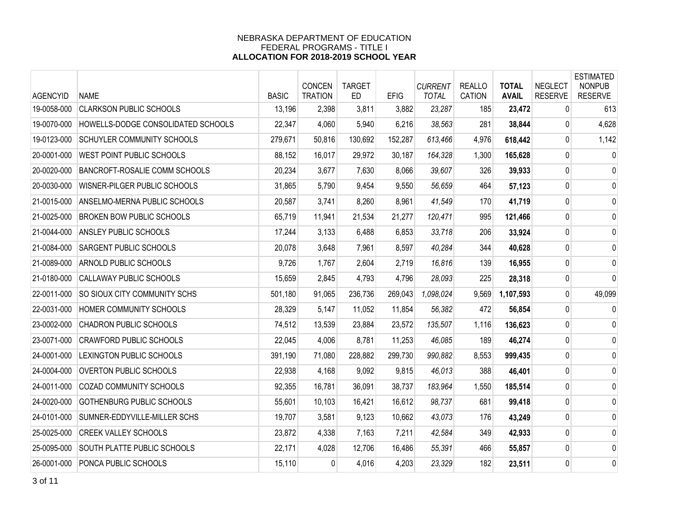| <b>AGENCYID</b> | <b>NAME</b>                        | <b>BASIC</b> | CONCEN<br><b>TRATION</b> | <b>TARGET</b><br><b>ED</b> | <b>EFIG</b> | <b>CURRENT</b><br><b>TOTAL</b> | <b>REALLO</b><br><b>CATION</b> | <b>TOTAL</b><br><b>AVAIL</b> | <b>NEGLECT</b><br><b>RESERVE</b> | <b>ESTIMATED</b><br><b>NONPUB</b><br><b>RESERVE</b> |
|-----------------|------------------------------------|--------------|--------------------------|----------------------------|-------------|--------------------------------|--------------------------------|------------------------------|----------------------------------|-----------------------------------------------------|
| 19-0058-000     | <b>CLARKSON PUBLIC SCHOOLS</b>     | 13,196       | 2,398                    | 3,811                      | 3,882       | 23,287                         | 185                            | 23,472                       | $\mathbf{0}$                     | 613                                                 |
| 19-0070-000     | HOWELLS-DODGE CONSOLIDATED SCHOOLS | 22,347       | 4,060                    | 5,940                      | 6,216       | 38,563                         | 281                            | 38,844                       | $\mathbf{0}$                     | 4,628                                               |
| 19-0123-000     | SCHUYLER COMMUNITY SCHOOLS         | 279,671      | 50,816                   | 130,692                    | 152,287     | 613,466                        | 4,976                          | 618,442                      | 0                                | 1,142                                               |
| 20-0001-000     | WEST POINT PUBLIC SCHOOLS          | 88,152       | 16,017                   | 29,972                     | 30,187      | 164,328                        | 1,300                          | 165,628                      | 0                                | 0                                                   |
| 20-0020-000     | BANCROFT-ROSALIE COMM SCHOOLS      | 20,234       | 3,677                    | 7,630                      | 8,066       | 39,607                         | 326                            | 39,933                       | 0                                | 0                                                   |
| 20-0030-000     | WISNER-PILGER PUBLIC SCHOOLS       | 31,865       | 5,790                    | 9,454                      | 9,550       | 56,659                         | 464                            | 57,123                       | 0                                | 0                                                   |
| 21-0015-000     | ANSELMO-MERNA PUBLIC SCHOOLS       | 20,587       | 3,741                    | 8,260                      | 8,961       | 41,549                         | 170                            | 41,719                       | $\mathbf 0$                      | 0                                                   |
| 21-0025-000     | <b>BROKEN BOW PUBLIC SCHOOLS</b>   | 65,719       | 11,941                   | 21,534                     | 21,277      | 120,471                        | 995                            | 121,466                      | 0                                | 0                                                   |
| 21-0044-000     | ANSLEY PUBLIC SCHOOLS              | 17,244       | 3,133                    | 6,488                      | 6,853       | 33,718                         | 206                            | 33,924                       | 0                                | 0                                                   |
| 21-0084-000     | SARGENT PUBLIC SCHOOLS             | 20,078       | 3,648                    | 7,961                      | 8,597       | 40,284                         | 344                            | 40,628                       | 0                                | 0                                                   |
| 21-0089-000     | ARNOLD PUBLIC SCHOOLS              | 9,726        | 1,767                    | 2,604                      | 2,719       | 16,816                         | 139                            | 16,955                       | $\pmb{0}$                        | 0                                                   |
| 21-0180-000     | CALLAWAY PUBLIC SCHOOLS            | 15,659       | 2,845                    | 4,793                      | 4,796       | 28,093                         | 225                            | 28,318                       | 0                                | 0                                                   |
| 22-0011-000     | SO SIOUX CITY COMMUNITY SCHS       | 501,180      | 91,065                   | 236,736                    | 269,043     | 1.098.024                      | 9,569                          | 1,107,593                    | 0                                | 49,099                                              |
| 22-0031-000     | HOMER COMMUNITY SCHOOLS            | 28,329       | 5,147                    | 11,052                     | 11,854      | 56,382                         | 472                            | 56,854                       | 0                                | $\mathbf 0$                                         |
| 23-0002-000     | <b>CHADRON PUBLIC SCHOOLS</b>      | 74,512       | 13,539                   | 23,884                     | 23,572      | 135,507                        | 1,116                          | 136,623                      | 0                                | 0                                                   |
| 23-0071-000     | <b>CRAWFORD PUBLIC SCHOOLS</b>     | 22,045       | 4,006                    | 8,781                      | 11,253      | 46,085                         | 189                            | 46,274                       | 0                                | 0                                                   |
| 24-0001-000     | LEXINGTON PUBLIC SCHOOLS           | 391,190      | 71,080                   | 228,882                    | 299,730     | 990,882                        | 8,553                          | 999,435                      | 0                                | 0                                                   |
| 24-0004-000     | <b>OVERTON PUBLIC SCHOOLS</b>      | 22,938       | 4,168                    | 9,092                      | 9,815       | 46,013                         | 388                            | 46,401                       | 0                                | 0                                                   |
| 24-0011-000     | <b>COZAD COMMUNITY SCHOOLS</b>     | 92,355       | 16,781                   | 36,091                     | 38,737      | 183,964                        | 1,550                          | 185,514                      | 0                                | 0                                                   |
| 24-0020-000     | GOTHENBURG PUBLIC SCHOOLS          | 55,601       | 10,103                   | 16,421                     | 16,612      | 98,737                         | 681                            | 99,418                       | 0                                | 0                                                   |
| 24-0101-000     | SUMNER-EDDYVILLE-MILLER SCHS       | 19,707       | 3,581                    | 9,123                      | 10,662      | 43,073                         | 176                            | 43,249                       | 0                                | 0                                                   |
| 25-0025-000     | <b>CREEK VALLEY SCHOOLS</b>        | 23,872       | 4,338                    | 7,163                      | 7,211       | 42,584                         | 349                            | 42,933                       | 0                                | 0                                                   |
| 25-0095-000     | SOUTH PLATTE PUBLIC SCHOOLS        | 22,171       | 4,028                    | 12,706                     | 16,486      | 55,391                         | 466                            | 55,857                       | 0                                | 0                                                   |
| 26-0001-000     | PONCA PUBLIC SCHOOLS               | 15,110       | 0                        | 4,016                      | 4,203       | 23,329                         | 182                            | 23,511                       | $\mathbf 0$                      | 0                                                   |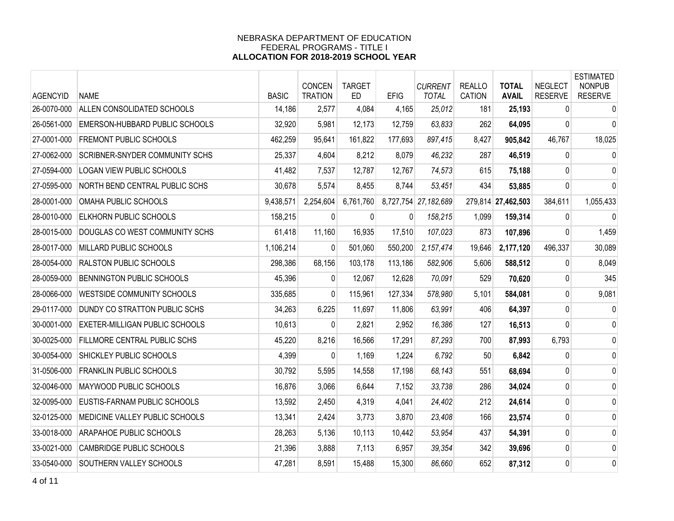| <b>AGENCYID</b> | <b>NAME</b>                         | <b>BASIC</b> | CONCEN<br><b>TRATION</b> | <b>TARGET</b><br><b>ED</b> | <b>EFIG</b>  | <b>CURRENT</b><br><b>TOTAL</b> | <b>REALLO</b><br>CATION | <b>TOTAL</b><br><b>AVAIL</b> | <b>NEGLECT</b><br><b>RESERVE</b> | <b>ESTIMATED</b><br><b>NONPUB</b><br><b>RESERVE</b> |
|-----------------|-------------------------------------|--------------|--------------------------|----------------------------|--------------|--------------------------------|-------------------------|------------------------------|----------------------------------|-----------------------------------------------------|
| 26-0070-000     | ALLEN CONSOLIDATED SCHOOLS          | 14,186       | 2,577                    | 4,084                      | 4,165        | 25,012                         | 181                     | 25,193                       | 0                                | $\pmb{0}$                                           |
| 26-0561-000     | EMERSON-HUBBARD PUBLIC SCHOOLS      | 32,920       | 5,981                    | 12,173                     | 12,759       | 63,833                         | 262                     | 64,095                       | $\mathbf{0}$                     | 0                                                   |
| 27-0001-000     | FREMONT PUBLIC SCHOOLS              | 462,259      | 95,641                   | 161,822                    | 177,693      | 897,415                        | 8,427                   | 905,842                      | 46,767                           | 18,025                                              |
| 27-0062-000     | SCRIBNER-SNYDER COMMUNITY SCHS      | 25,337       | 4,604                    | 8,212                      | 8,079        | 46,232                         | 287                     | 46,519                       | 0                                | 0                                                   |
| 27-0594-000     | LOGAN VIEW PUBLIC SCHOOLS           | 41,482       | 7,537                    | 12,787                     | 12,767       | 74,573                         | 615                     | 75,188                       | $\mathbf{0}$                     | 0                                                   |
| 27-0595-000     | NORTH BEND CENTRAL PUBLIC SCHS      | 30,678       | 5,574                    | 8,455                      | 8,744        | 53,451                         | 434                     | 53,885                       | $\Omega$                         | $\mathbf{0}$                                        |
| 28-0001-000     | OMAHA PUBLIC SCHOOLS                | 9,438,571    | 2,254,604                | 6,761,760                  |              | 8,727,754 27,182,689           |                         | 279,814 27,462,503           | 384,611                          | 1,055,433                                           |
| 28-0010-000     | ELKHORN PUBLIC SCHOOLS              | 158,215      | $\mathbf{0}$             | 0                          | $\mathbf{0}$ | 158,215                        | 1,099                   | 159,314                      | $\mathbf{0}$                     | $\mathbf 0$                                         |
| 28-0015-000     | DOUGLAS CO WEST COMMUNITY SCHS      | 61,418       | 11,160                   | 16,935                     | 17,510       | 107,023                        | 873                     | 107,896                      | 0                                | 1,459                                               |
| 28-0017-000     | MILLARD PUBLIC SCHOOLS              | 1,106,214    | $\mathbf{0}$             | 501,060                    | 550,200      | 2,157,474                      | 19,646                  | 2,177,120                    | 496,337                          | 30,089                                              |
| 28-0054-000     | <b>RALSTON PUBLIC SCHOOLS</b>       | 298,386      | 68,156                   | 103,178                    | 113,186      | 582,906                        | 5,606                   | 588,512                      | 0                                | 8,049                                               |
| 28-0059-000     | BENNINGTON PUBLIC SCHOOLS           | 45,396       | $\overline{0}$           | 12,067                     | 12,628       | 70,091                         | 529                     | 70,620                       | 0                                | 345                                                 |
| 28-0066-000     | <b>WESTSIDE COMMUNITY SCHOOLS</b>   | 335,685      | $\mathbf{0}$             | 115,961                    | 127,334      | 578,980                        | 5,101                   | 584,081                      | $\mathbf{0}$                     | 9,081                                               |
| 29-0117-000     | DUNDY CO STRATTON PUBLIC SCHS       | 34,263       | 6,225                    | 11,697                     | 11,806       | 63,991                         | 406                     | 64,397                       | $\Omega$                         | $\mathbf 0$                                         |
| 30-0001-000     | EXETER-MILLIGAN PUBLIC SCHOOLS      | 10,613       | $\mathbf{0}$             | 2,821                      | 2,952        | 16,386                         | 127                     | 16,513                       | 0                                | 0                                                   |
| 30-0025-000     | <b>FILLMORE CENTRAL PUBLIC SCHS</b> | 45,220       | 8,216                    | 16,566                     | 17,291       | 87,293                         | 700                     | 87,993                       | 6,793                            | 0                                                   |
| 30-0054-000     | SHICKLEY PUBLIC SCHOOLS             | 4,399        | $\mathbf{0}$             | 1,169                      | 1,224        | 6,792                          | 50                      | 6,842                        | $\mathbf{0}$                     | 0                                                   |
| 31-0506-000     | <b>FRANKLIN PUBLIC SCHOOLS</b>      | 30,792       | 5,595                    | 14,558                     | 17,198       | 68,143                         | 551                     | 68,694                       | $\mathbf 0$                      | 0                                                   |
| 32-0046-000     | MAYWOOD PUBLIC SCHOOLS              | 16,876       | 3,066                    | 6,644                      | 7,152        | 33,738                         | 286                     | 34,024                       | 0                                | 0                                                   |
| 32-0095-000     | EUSTIS-FARNAM PUBLIC SCHOOLS        | 13,592       | 2,450                    | 4,319                      | 4,041        | 24,402                         | 212                     | 24,614                       | 0                                | 0                                                   |
| 32-0125-000     | MEDICINE VALLEY PUBLIC SCHOOLS      | 13,341       | 2,424                    | 3,773                      | 3,870        | 23,408                         | 166                     | 23,574                       | $\mathbf{0}$                     | 0                                                   |
| 33-0018-000     | ARAPAHOE PUBLIC SCHOOLS             | 28,263       | 5,136                    | 10,113                     | 10,442       | 53,954                         | 437                     | 54,391                       | $\pmb{0}$                        | $\mathbf{0}$                                        |
| 33-0021-000     | <b>CAMBRIDGE PUBLIC SCHOOLS</b>     | 21,396       | 3,888                    | 7,113                      | 6,957        | 39,354                         | 342                     | 39,696                       | 0                                | 0                                                   |
| 33-0540-000     | SOUTHERN VALLEY SCHOOLS             | 47,281       | 8,591                    | 15,488                     | 15,300       | 86,660                         | 652                     | 87,312                       | $\mathbf 0$                      | 0                                                   |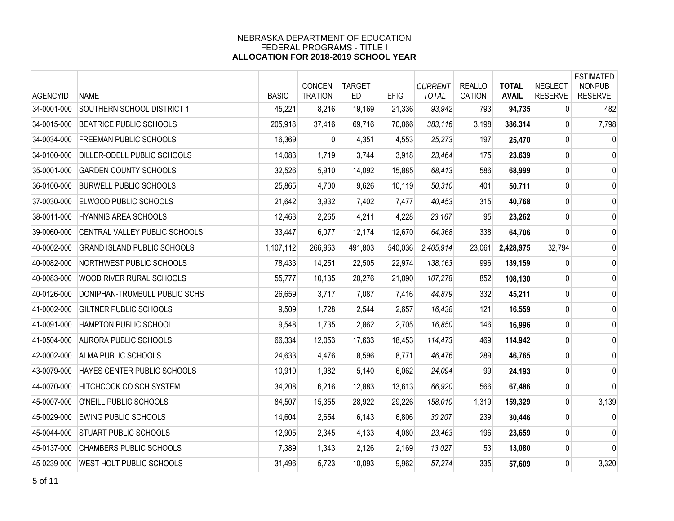| <b>AGENCYID</b> | <b>NAME</b>                        | <b>BASIC</b> | CONCEN<br><b>TRATION</b> | <b>TARGET</b><br><b>ED</b> | <b>EFIG</b> | <b>CURRENT</b><br><b>TOTAL</b> | <b>REALLO</b><br><b>CATION</b> | <b>TOTAL</b><br><b>AVAIL</b> | <b>NEGLECT</b><br><b>RESERVE</b> | <b>ESTIMATED</b><br><b>NONPUB</b><br><b>RESERVE</b> |
|-----------------|------------------------------------|--------------|--------------------------|----------------------------|-------------|--------------------------------|--------------------------------|------------------------------|----------------------------------|-----------------------------------------------------|
| 34-0001-000     | SOUTHERN SCHOOL DISTRICT 1         | 45,221       | 8,216                    | 19,169                     | 21,336      | 93,942                         | 793                            | 94,735                       | 0                                | 482                                                 |
| 34-0015-000     | <b>BEATRICE PUBLIC SCHOOLS</b>     | 205,918      | 37,416                   | 69,716                     | 70,066      | 383,116                        | 3,198                          | 386,314                      | 0                                | 7,798                                               |
| 34-0034-000     | <b>FREEMAN PUBLIC SCHOOLS</b>      | 16,369       | 0                        | 4,351                      | 4,553       | 25,273                         | 197                            | 25,470                       | 0                                | 0                                                   |
| 34-0100-000     | DILLER-ODELL PUBLIC SCHOOLS        | 14,083       | 1,719                    | 3,744                      | 3,918       | 23,464                         | 175                            | 23,639                       | 0                                | $\mathbf 0$                                         |
| 35-0001-000     | <b>GARDEN COUNTY SCHOOLS</b>       | 32,526       | 5,910                    | 14,092                     | 15,885      | 68,413                         | 586                            | 68,999                       | 0                                | 0                                                   |
| 36-0100-000     | <b>BURWELL PUBLIC SCHOOLS</b>      | 25,865       | 4,700                    | 9,626                      | 10,119      | 50,310                         | 401                            | 50,711                       | 0                                | 0                                                   |
| 37-0030-000     | ELWOOD PUBLIC SCHOOLS              | 21,642       | 3,932                    | 7,402                      | 7,477       | 40,453                         | 315                            | 40,768                       | 0                                | $\mathbf 0$                                         |
| 38-0011-000     | HYANNIS AREA SCHOOLS               | 12,463       | 2,265                    | 4,211                      | 4,228       | 23,167                         | 95                             | 23,262                       | 0                                | $\mathbf 0$                                         |
| 39-0060-000     | CENTRAL VALLEY PUBLIC SCHOOLS      | 33,447       | 6,077                    | 12,174                     | 12,670      | 64,368                         | 338                            | 64,706                       | 0                                | 0                                                   |
| 40-0002-000     | <b>GRAND ISLAND PUBLIC SCHOOLS</b> | 1,107,112    | 266,963                  | 491,803                    | 540,036     | 2,405,914                      | 23,061                         | 2,428,975                    | 32,794                           | $\mathbf{0}$                                        |
| 40-0082-000     | NORTHWEST PUBLIC SCHOOLS           | 78,433       | 14,251                   | 22,505                     | 22,974      | 138,163                        | 996                            | 139,159                      | 0                                | $\mathbf{0}$                                        |
| 40-0083-000     | WOOD RIVER RURAL SCHOOLS           | 55,777       | 10,135                   | 20,276                     | 21,090      | 107,278                        | 852                            | 108,130                      | 0                                | $\mathbf 0$                                         |
| 40-0126-000     | DONIPHAN-TRUMBULL PUBLIC SCHS      | 26,659       | 3,717                    | 7,087                      | 7,416       | 44,879                         | 332                            | 45,211                       | 0                                | 0                                                   |
| 41-0002-000     | GILTNER PUBLIC SCHOOLS             | 9,509        | 1,728                    | 2,544                      | 2,657       | 16,438                         | 121                            | 16,559                       | 0                                | 0                                                   |
| 41-0091-000     | HAMPTON PUBLIC SCHOOL              | 9,548        | 1,735                    | 2,862                      | 2,705       | 16,850                         | 146                            | 16,996                       | 0                                | $\mathbf 0$                                         |
| 41-0504-000     | <b>AURORA PUBLIC SCHOOLS</b>       | 66,334       | 12,053                   | 17,633                     | 18,453      | 114,473                        | 469                            | 114,942                      | 0                                | $\mathbf 0$                                         |
| 42-0002-000     | ALMA PUBLIC SCHOOLS                | 24,633       | 4,476                    | 8,596                      | 8,771       | 46,476                         | 289                            | 46,765                       | 0                                | $\mathbf{0}$                                        |
| 43-0079-000     | HAYES CENTER PUBLIC SCHOOLS        | 10,910       | 1,982                    | 5,140                      | 6,062       | 24,094                         | 99                             | 24,193                       | 0                                | $\mathbf 0$                                         |
| 44-0070-000     | <b>HITCHCOCK CO SCH SYSTEM</b>     | 34,208       | 6,216                    | 12,883                     | 13,613      | 66,920                         | 566                            | 67,486                       | 0                                | $\mathbf 0$                                         |
| 45-0007-000     | O'NEILL PUBLIC SCHOOLS             | 84,507       | 15,355                   | 28,922                     | 29,226      | 158,010                        | 1,319                          | 159,329                      | 0                                | 3,139                                               |
| 45-0029-000     | <b>EWING PUBLIC SCHOOLS</b>        | 14,604       | 2,654                    | 6,143                      | 6,806       | 30,207                         | 239                            | 30,446                       | $\Omega$                         | 0                                                   |
| 45-0044-000     | STUART PUBLIC SCHOOLS              | 12,905       | 2,345                    | 4,133                      | 4,080       | 23,463                         | 196                            | 23,659                       | 0                                | 0                                                   |
| 45-0137-000     | <b>CHAMBERS PUBLIC SCHOOLS</b>     | 7,389        | 1,343                    | 2,126                      | 2,169       | 13,027                         | 53                             | 13,080                       | 0                                | $\mathbf{0}$                                        |
| 45-0239-000     | WEST HOLT PUBLIC SCHOOLS           | 31,496       | 5,723                    | 10,093                     | 9,962       | 57,274                         | 335                            | 57,609                       | 0                                | 3,320                                               |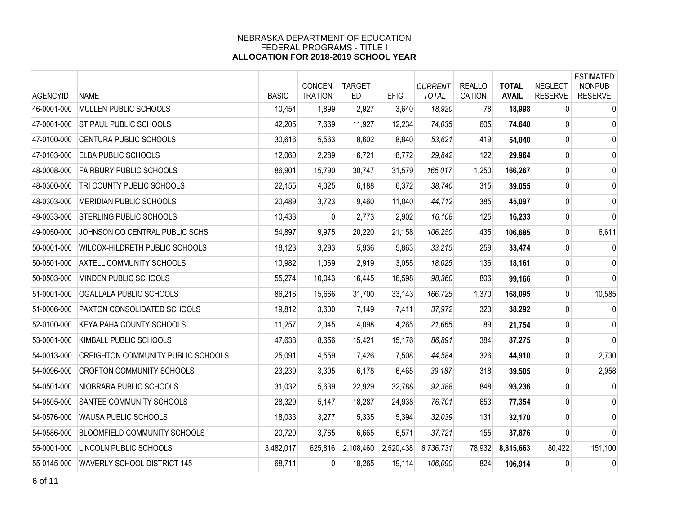| <b>AGENCYID</b> | <b>NAME</b>                               | <b>BASIC</b> | CONCEN<br><b>TRATION</b> | <b>TARGET</b><br><b>ED</b> | <b>EFIG</b> | <b>CURRENT</b><br><b>TOTAL</b> | <b>REALLO</b><br><b>CATION</b> | <b>TOTAL</b><br><b>AVAIL</b> | <b>NEGLECT</b><br><b>RESERVE</b> | <b>ESTIMATED</b><br><b>NONPUB</b><br><b>RESERVE</b> |
|-----------------|-------------------------------------------|--------------|--------------------------|----------------------------|-------------|--------------------------------|--------------------------------|------------------------------|----------------------------------|-----------------------------------------------------|
| 46-0001-000     | MULLEN PUBLIC SCHOOLS                     | 10,454       | 1,899                    | 2,927                      | 3,640       | 18,920                         | 78                             | 18,998                       | 0                                | $\mathbf 0$                                         |
| 47-0001-000     | ST PAUL PUBLIC SCHOOLS                    | 42,205       | 7,669                    | 11,927                     | 12,234      | 74,035                         | 605                            | 74,640                       | 0                                | $\mathbf 0$                                         |
| 47-0100-000     | <b>CENTURA PUBLIC SCHOOLS</b>             | 30,616       | 5,563                    | 8,602                      | 8,840       | 53,621                         | 419                            | 54,040                       | $\overline{0}$                   | $\mathbf 0$                                         |
| 47-0103-000     | <b>ELBA PUBLIC SCHOOLS</b>                | 12,060       | 2,289                    | 6,721                      | 8,772       | 29,842                         | 122                            | 29,964                       | $\mathbf 0$                      | 0                                                   |
| 48-0008-000     | <b>FAIRBURY PUBLIC SCHOOLS</b>            | 86,901       | 15,790                   | 30,747                     | 31,579      | 165,017                        | 1,250                          | 166,267                      | 0                                | $\mathbf 0$                                         |
| 48-0300-000     | TRI COUNTY PUBLIC SCHOOLS                 | 22,155       | 4,025                    | 6,188                      | 6,372       | 38,740                         | 315                            | 39,055                       | $\mathbf{0}$                     | 0                                                   |
| 48-0303-000     | MERIDIAN PUBLIC SCHOOLS                   | 20,489       | 3,723                    | 9,460                      | 11,040      | 44,712                         | 385                            | 45,097                       | $\mathbf 0$                      | $\mathbf 0$                                         |
| 49-0033-000     | STERLING PUBLIC SCHOOLS                   | 10,433       | 0                        | 2,773                      | 2,902       | 16,108                         | 125                            | 16,233                       | 0                                | $\mathbf 0$                                         |
| 49-0050-000     | JOHNSON CO CENTRAL PUBLIC SCHS            | 54,897       | 9,975                    | 20,220                     | 21,158      | 106,250                        | 435                            | 106,685                      | $\mathbf 0$                      | 6,611                                               |
| 50-0001-000     | WILCOX-HILDRETH PUBLIC SCHOOLS            | 18,123       | 3,293                    | 5,936                      | 5,863       | 33,215                         | 259                            | 33,474                       | $\overline{0}$                   | 0                                                   |
| 50-0501-000     | <b>AXTELL COMMUNITY SCHOOLS</b>           | 10,982       | 1,069                    | 2,919                      | 3,055       | 18,025                         | 136                            | 18,161                       | 0                                | $\mathbf 0$                                         |
| 50-0503-000     | MINDEN PUBLIC SCHOOLS                     | 55,274       | 10,043                   | 16,445                     | 16,598      | 98,360                         | 806                            | 99,166                       | 0                                | $\mathbf{0}$                                        |
| 51-0001-000     | OGALLALA PUBLIC SCHOOLS                   | 86,216       | 15,666                   | 31,700                     | 33,143      | 166,725                        | 1,370                          | 168,095                      | 0                                | 10,585                                              |
| 51-0006-000     | PAXTON CONSOLIDATED SCHOOLS               | 19,812       | 3,600                    | 7,149                      | 7,411       | 37,972                         | 320                            | 38,292                       | $\mathbf 0$                      | $\mathbf 0$                                         |
| 52-0100-000     | KEYA PAHA COUNTY SCHOOLS                  | 11,257       | 2,045                    | 4,098                      | 4,265       | 21,665                         | 89                             | 21,754                       | 0                                | 0                                                   |
| 53-0001-000     | KIMBALL PUBLIC SCHOOLS                    | 47,638       | 8,656                    | 15,421                     | 15,176      | 86,891                         | 384                            | 87,275                       | 0                                | $\mathbf 0$                                         |
| 54-0013-000     | <b>CREIGHTON COMMUNITY PUBLIC SCHOOLS</b> | 25,091       | 4,559                    | 7,426                      | 7,508       | 44,584                         | 326                            | 44,910                       | 0                                | 2,730                                               |
| 54-0096-000     | <b>CROFTON COMMUNITY SCHOOLS</b>          | 23,239       | 3,305                    | 6,178                      | 6,465       | 39,187                         | 318                            | 39,505                       | $\mathbf 0$                      | 2,958                                               |
| 54-0501-000     | NIOBRARA PUBLIC SCHOOLS                   | 31,032       | 5,639                    | 22,929                     | 32,788      | 92,388                         | 848                            | 93,236                       | $\mathbf 0$                      | 0                                                   |
| 54-0505-000     | SANTEE COMMUNITY SCHOOLS                  | 28,329       | 5,147                    | 18,287                     | 24,938      | 76,701                         | 653                            | 77,354                       | 0                                | 0                                                   |
| 54-0576-000     | WAUSA PUBLIC SCHOOLS                      | 18,033       | 3,277                    | 5,335                      | 5,394       | 32,039                         | 131                            | 32,170                       | $\mathbf{0}$                     | 0                                                   |
| 54-0586-000     | BLOOMFIELD COMMUNITY SCHOOLS              | 20,720       | 3,765                    | 6,665                      | 6,571       | 37,721                         | 155                            | 37,876                       | 0                                | $\mathbf 0$                                         |
| 55-0001-000     | LINCOLN PUBLIC SCHOOLS                    | 3,482,017    | 625,816                  | 2,108,460                  | 2,520,438   | 8,736,731                      | 78,932                         | 8,815,663                    | 80,422                           | 151,100                                             |
| 55-0145-000     | <b>WAVERLY SCHOOL DISTRICT 145</b>        | 68,711       | 0                        | 18,265                     | 19,114      | 106,090                        | 824                            | 106,914                      | 0                                | 0                                                   |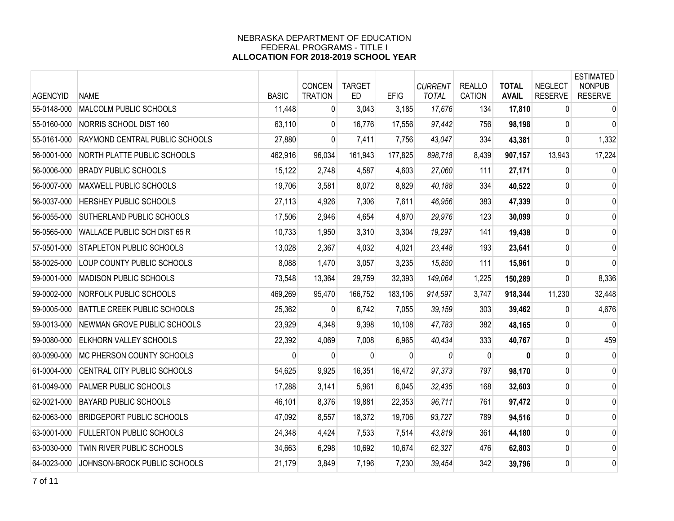| <b>AGENCYID</b> | <b>NAME</b>                      | <b>BASIC</b> | CONCEN<br><b>TRATION</b> | <b>TARGET</b><br><b>ED</b> | <b>EFIG</b> | <b>CURRENT</b><br><b>TOTAL</b> | <b>REALLO</b><br><b>CATION</b> | <b>TOTAL</b><br><b>AVAIL</b> | <b>NEGLECT</b><br><b>RESERVE</b> | <b>ESTIMATED</b><br><b>NONPUB</b><br><b>RESERVE</b> |
|-----------------|----------------------------------|--------------|--------------------------|----------------------------|-------------|--------------------------------|--------------------------------|------------------------------|----------------------------------|-----------------------------------------------------|
| 55-0148-000     | MALCOLM PUBLIC SCHOOLS           | 11,448       | 0                        | 3,043                      | 3,185       | 17,676                         | 134                            | 17,810                       | $\mathbf{0}$                     | $\mathbf 0$                                         |
| 55-0160-000     | NORRIS SCHOOL DIST 160           | 63,110       | $\overline{0}$           | 16,776                     | 17,556      | 97,442                         | 756                            | 98,198                       | $\mathbf{0}$                     | 0                                                   |
| 55-0161-000     | RAYMOND CENTRAL PUBLIC SCHOOLS   | 27,880       | $\mathbf{0}$             | 7,411                      | 7,756       | 43,047                         | 334                            | 43,381                       | 0                                | 1,332                                               |
| 56-0001-000     | NORTH PLATTE PUBLIC SCHOOLS      | 462,916      | 96,034                   | 161,943                    | 177,825     | 898,718                        | 8,439                          | 907,157                      | 13,943                           | 17,224                                              |
| 56-0006-000     | <b>BRADY PUBLIC SCHOOLS</b>      | 15,122       | 2,748                    | 4,587                      | 4,603       | 27,060                         | 111                            | 27,171                       | 0                                | 0                                                   |
| 56-0007-000     | MAXWELL PUBLIC SCHOOLS           | 19,706       | 3,581                    | 8,072                      | 8,829       | 40,188                         | 334                            | 40,522                       | 0                                | 0                                                   |
| 56-0037-000     | HERSHEY PUBLIC SCHOOLS           | 27,113       | 4,926                    | 7,306                      | 7,611       | 46,956                         | 383                            | 47,339                       | 0                                | 0                                                   |
| 56-0055-000     | SUTHERLAND PUBLIC SCHOOLS        | 17,506       | 2,946                    | 4,654                      | 4.870       | 29,976                         | 123                            | 30,099                       | 0                                | 0                                                   |
| 56-0565-000     | WALLACE PUBLIC SCH DIST 65 R     | 10,733       | 1,950                    | 3,310                      | 3,304       | 19,297                         | 141                            | 19,438                       | 0                                | 0                                                   |
| 57-0501-000     | <b>STAPLETON PUBLIC SCHOOLS</b>  | 13,028       | 2,367                    | 4,032                      | 4,021       | 23,448                         | 193                            | 23,641                       | 0                                | 0                                                   |
| 58-0025-000     | LOUP COUNTY PUBLIC SCHOOLS       | 8,088        | 1,470                    | 3,057                      | 3,235       | 15,850                         | 111                            | 15,961                       | 0                                | 0                                                   |
| 59-0001-000     | <b>MADISON PUBLIC SCHOOLS</b>    | 73,548       | 13,364                   | 29,759                     | 32,393      | 149,064                        | 1,225                          | 150,289                      | 0                                | 8,336                                               |
| 59-0002-000     | NORFOLK PUBLIC SCHOOLS           | 469,269      | 95,470                   | 166,752                    | 183,106     | 914,597                        | 3,747                          | 918,344                      | 11,230                           | 32,448                                              |
| 59-0005-000     | BATTLE CREEK PUBLIC SCHOOLS      | 25,362       | $\Omega$                 | 6,742                      | 7,055       | 39,159                         | 303                            | 39,462                       | $\mathbf{0}$                     | 4,676                                               |
| 59-0013-000     | NEWMAN GROVE PUBLIC SCHOOLS      | 23,929       | 4,348                    | 9,398                      | 10,108      | 47,783                         | 382                            | 48,165                       | $\mathbf{0}$                     | 0                                                   |
| 59-0080-000     | ELKHORN VALLEY SCHOOLS           | 22,392       | 4,069                    | 7,008                      | 6,965       | 40,434                         | 333                            | 40,767                       | 0                                | 459                                                 |
| 60-0090-000     | MC PHERSON COUNTY SCHOOLS        | 0            | $\Omega$                 | $\Omega$                   | $\Omega$    | 0                              | 0                              | 0                            | 0                                | 0                                                   |
| 61-0004-000     | CENTRAL CITY PUBLIC SCHOOLS      | 54,625       | 9,925                    | 16,351                     | 16,472      | 97,373                         | 797                            | 98,170                       | 0                                | 0                                                   |
| 61-0049-000     | PALMER PUBLIC SCHOOLS            | 17,288       | 3,141                    | 5,961                      | 6,045       | 32,435                         | 168                            | 32,603                       | $\pmb{0}$                        | 0                                                   |
| 62-0021-000     | <b>BAYARD PUBLIC SCHOOLS</b>     | 46,101       | 8,376                    | 19,881                     | 22,353      | 96,711                         | 761                            | 97,472                       | 0                                | 0                                                   |
| 62-0063-000     | <b>BRIDGEPORT PUBLIC SCHOOLS</b> | 47,092       | 8,557                    | 18,372                     | 19,706      | 93,727                         | 789                            | 94,516                       | 0                                | 0                                                   |
| 63-0001-000     | <b>FULLERTON PUBLIC SCHOOLS</b>  | 24,348       | 4,424                    | 7,533                      | 7,514       | 43,819                         | 361                            | 44,180                       | 0                                | 0                                                   |
| 63-0030-000     | TWIN RIVER PUBLIC SCHOOLS        | 34,663       | 6,298                    | 10,692                     | 10,674      | 62,327                         | 476                            | 62,803                       | 0                                | 0                                                   |
| 64-0023-000     | JOHNSON-BROCK PUBLIC SCHOOLS     | 21,179       | 3,849                    | 7,196                      | 7,230       | 39,454                         | 342                            | 39,796                       | 0                                | 0                                                   |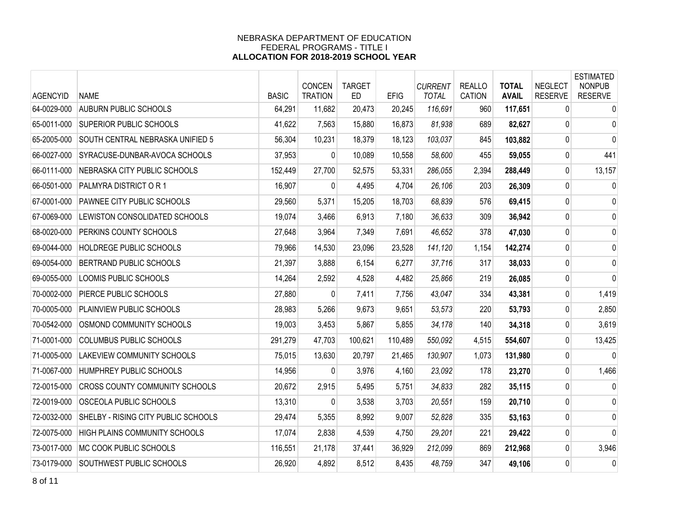| <b>AGENCYID</b> | <b>NAME</b>                           | <b>BASIC</b> | CONCEN<br><b>TRATION</b> | <b>TARGET</b><br><b>ED</b> | <b>EFIG</b> | <b>CURRENT</b><br><b>TOTAL</b> | <b>REALLO</b><br><b>CATION</b> | <b>TOTAL</b><br><b>AVAIL</b> | <b>NEGLECT</b><br><b>RESERVE</b> | <b>ESTIMATED</b><br><b>NONPUB</b><br><b>RESERVE</b> |
|-----------------|---------------------------------------|--------------|--------------------------|----------------------------|-------------|--------------------------------|--------------------------------|------------------------------|----------------------------------|-----------------------------------------------------|
| 64-0029-000     | <b>AUBURN PUBLIC SCHOOLS</b>          | 64,291       | 11,682                   | 20,473                     | 20,245      | 116,691                        | 960                            | 117,651                      | 0                                | $\mathbf 0$                                         |
| 65-0011-000     | SUPERIOR PUBLIC SCHOOLS               | 41,622       | 7,563                    | 15,880                     | 16,873      | 81,938                         | 689                            | 82,627                       | 0                                | 0                                                   |
| 65-2005-000     | SOUTH CENTRAL NEBRASKA UNIFIED 5      | 56,304       | 10,231                   | 18,379                     | 18,123      | 103,037                        | 845                            | 103,882                      | 0                                | $\mathbf{0}$                                        |
| 66-0027-000     | SYRACUSE-DUNBAR-AVOCA SCHOOLS         | 37,953       | $\mathbf{0}$             | 10,089                     | 10,558      | 58,600                         | 455                            | 59,055                       | 0                                | 441                                                 |
| 66-0111-000     | NEBRASKA CITY PUBLIC SCHOOLS          | 152,449      | 27,700                   | 52,575                     | 53,331      | 286,055                        | 2,394                          | 288,449                      | $\Omega$                         | 13,157                                              |
| 66-0501-000     | PALMYRA DISTRICT OR 1                 | 16,907       | $\Omega$                 | 4,495                      | 4,704       | 26,106                         | 203                            | 26,309                       | 0                                | 0                                                   |
| 67-0001-000     | PAWNEE CITY PUBLIC SCHOOLS            | 29,560       | 5,371                    | 15,205                     | 18,703      | 68,839                         | 576                            | 69,415                       | $\mathbf 0$                      | 0                                                   |
| 67-0069-000     | LEWISTON CONSOLIDATED SCHOOLS         | 19,074       | 3,466                    | 6,913                      | 7,180       | 36,633                         | 309                            | 36,942                       | 0                                | $\mathbf 0$                                         |
| 68-0020-000     | PERKINS COUNTY SCHOOLS                | 27,648       | 3,964                    | 7,349                      | 7,691       | 46,652                         | 378                            | 47,030                       | 0                                | 0                                                   |
| 69-0044-000     | HOLDREGE PUBLIC SCHOOLS               | 79,966       | 14,530                   | 23,096                     | 23,528      | 141,120                        | 1,154                          | 142,274                      | 0                                | 0                                                   |
| 69-0054-000     | BERTRAND PUBLIC SCHOOLS               | 21,397       | 3,888                    | 6,154                      | 6,277       | 37,716                         | 317                            | 38,033                       | $\pmb{0}$                        | 0                                                   |
| 69-0055-000     | LOOMIS PUBLIC SCHOOLS                 | 14,264       | 2,592                    | 4,528                      | 4,482       | 25,866                         | 219                            | 26,085                       | 0                                | 0                                                   |
| 70-0002-000     | PIERCE PUBLIC SCHOOLS                 | 27,880       | $\Omega$                 | 7,411                      | 7,756       | 43,047                         | 334                            | 43,381                       | 0                                | 1,419                                               |
| 70-0005-000     | PLAINVIEW PUBLIC SCHOOLS              | 28,983       | 5,266                    | 9,673                      | 9,651       | 53,573                         | 220                            | 53,793                       | $\mathbf{0}$                     | 2,850                                               |
| 70-0542-000     | OSMOND COMMUNITY SCHOOLS              | 19,003       | 3,453                    | 5,867                      | 5,855       | 34,178                         | 140                            | 34,318                       | 0                                | 3,619                                               |
| 71-0001-000     | COLUMBUS PUBLIC SCHOOLS               | 291,279      | 47,703                   | 100,621                    | 110,489     | 550,092                        | 4,515                          | 554,607                      | 0                                | 13,425                                              |
| 71-0005-000     | LAKEVIEW COMMUNITY SCHOOLS            | 75,015       | 13,630                   | 20,797                     | 21,465      | 130,907                        | 1,073                          | 131,980                      | $\mathbf{0}$                     | $\Omega$                                            |
| 71-0067-000     | HUMPHREY PUBLIC SCHOOLS               | 14,956       | $\mathbf{0}$             | 3,976                      | 4,160       | 23,092                         | 178                            | 23,270                       | 0                                | 1,466                                               |
| 72-0015-000     | <b>CROSS COUNTY COMMUNITY SCHOOLS</b> | 20,672       | 2,915                    | 5,495                      | 5,751       | 34,833                         | 282                            | 35,115                       | 0                                | 0                                                   |
| 72-0019-000     | OSCEOLA PUBLIC SCHOOLS                | 13,310       | 0                        | 3,538                      | 3,703       | 20,551                         | 159                            | 20,710                       | 0                                | 0                                                   |
| 72-0032-000     | SHELBY - RISING CITY PUBLIC SCHOOLS   | 29,474       | 5,355                    | 8,992                      | 9,007       | 52,828                         | 335                            | 53,163                       | $\mathbf{0}$                     | 0                                                   |
| 72-0075-000     | HIGH PLAINS COMMUNITY SCHOOLS         | 17,074       | 2,838                    | 4,539                      | 4,750       | 29,201                         | 221                            | 29,422                       | $\mathbf 0$                      | $\mathbf 0$                                         |
| 73-0017-000     | MC COOK PUBLIC SCHOOLS                | 116,551      | 21,178                   | 37,441                     | 36,929      | 212,099                        | 869                            | 212,968                      | 0                                | 3,946                                               |
| 73-0179-000     | SOUTHWEST PUBLIC SCHOOLS              | 26,920       | 4,892                    | 8,512                      | 8,435       | 48,759                         | 347                            | 49,106                       | $\mathbf 0$                      | 0                                                   |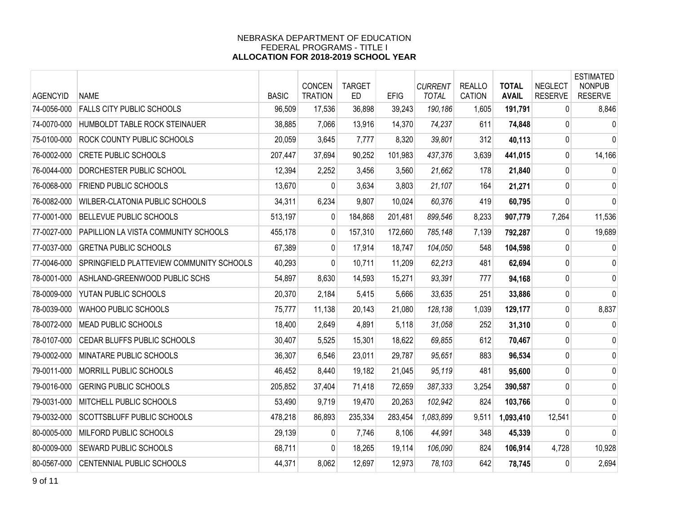| <b>AGENCYID</b> | <b>NAME</b>                              | <b>BASIC</b> | CONCEN<br><b>TRATION</b> | <b>TARGET</b><br><b>ED</b> | <b>EFIG</b> | <b>CURRENT</b><br><b>TOTAL</b> | <b>REALLO</b><br>CATION | <b>TOTAL</b><br><b>AVAIL</b> | <b>NEGLECT</b><br><b>RESERVE</b> | <b>ESTIMATED</b><br><b>NONPUB</b><br><b>RESERVE</b> |
|-----------------|------------------------------------------|--------------|--------------------------|----------------------------|-------------|--------------------------------|-------------------------|------------------------------|----------------------------------|-----------------------------------------------------|
| 74-0056-000     | <b>FALLS CITY PUBLIC SCHOOLS</b>         | 96,509       | 17,536                   | 36,898                     | 39,243      | 190,186                        | 1,605                   | 191,791                      | 0                                | 8,846                                               |
| 74-0070-000     | HUMBOLDT TABLE ROCK STEINAUER            | 38,885       | 7,066                    | 13,916                     | 14,370      | 74,237                         | 611                     | 74,848                       | $\mathbf{0}$                     | 0                                                   |
| 75-0100-000     | ROCK COUNTY PUBLIC SCHOOLS               | 20,059       | 3,645                    | 7,777                      | 8,320       | 39,801                         | 312                     | 40,113                       | 0                                | 0                                                   |
| 76-0002-000     | <b>CRETE PUBLIC SCHOOLS</b>              | 207,447      | 37,694                   | 90,252                     | 101,983     | 437,376                        | 3,639                   | 441,015                      | 0                                | 14,166                                              |
| 76-0044-000     | DORCHESTER PUBLIC SCHOOL                 | 12,394       | 2,252                    | 3,456                      | 3,560       | 21,662                         | 178                     | 21,840                       | 0                                | $\mathbf 0$                                         |
| 76-0068-000     | FRIEND PUBLIC SCHOOLS                    | 13,670       | $\Omega$                 | 3,634                      | 3,803       | 21,107                         | 164                     | 21,271                       | 0                                | 0                                                   |
| 76-0082-000     | WILBER-CLATONIA PUBLIC SCHOOLS           | 34,311       | 6,234                    | 9,807                      | 10,024      | 60,376                         | 419                     | 60,795                       | 0                                | 0                                                   |
| 77-0001-000     | <b>BELLEVUE PUBLIC SCHOOLS</b>           | 513,197      | $\Omega$                 | 184,868                    | 201,481     | 899,546                        | 8,233                   | 907,779                      | 7,264                            | 11,536                                              |
| 77-0027-000     | PAPILLION LA VISTA COMMUNITY SCHOOLS     | 455,178      | $\mathbf{0}$             | 157,310                    | 172,660     | 785,148                        | 7,139                   | 792,287                      | $\mathbf{0}$                     | 19,689                                              |
| 77-0037-000     | <b>GRETNA PUBLIC SCHOOLS</b>             | 67,389       | $\overline{0}$           | 17,914                     | 18,747      | 104,050                        | 548                     | 104,598                      | $\mathbf{0}$                     | 0                                                   |
| 77-0046-000     | SPRINGFIELD PLATTEVIEW COMMUNITY SCHOOLS | 40,293       | $\overline{0}$           | 10,711                     | 11,209      | 62,213                         | 481                     | 62,694                       | 0                                | 0                                                   |
| 78-0001-000     | ASHLAND-GREENWOOD PUBLIC SCHS            | 54,897       | 8,630                    | 14,593                     | 15,271      | 93,391                         | 777                     | 94,168                       | 0                                | 0                                                   |
| 78-0009-000     | YUTAN PUBLIC SCHOOLS                     | 20,370       | 2,184                    | 5,415                      | 5,666       | 33,635                         | 251                     | 33,886                       | 0                                | 0                                                   |
| 78-0039-000     | WAHOO PUBLIC SCHOOLS                     | 75,777       | 11,138                   | 20,143                     | 21,080      | 128,138                        | 1,039                   | 129,177                      | 0                                | 8,837                                               |
| 78-0072-000     | MEAD PUBLIC SCHOOLS                      | 18,400       | 2,649                    | 4,891                      | 5,118       | 31,058                         | 252                     | 31,310                       | 0                                | $\mathbf 0$                                         |
| 78-0107-000     | CEDAR BLUFFS PUBLIC SCHOOLS              | 30,407       | 5,525                    | 15,301                     | 18,622      | 69,855                         | 612                     | 70,467                       | 0                                | 0                                                   |
| 79-0002-000     | MINATARE PUBLIC SCHOOLS                  | 36,307       | 6,546                    | 23,011                     | 29,787      | 95,651                         | 883                     | 96,534                       | 0                                | 0                                                   |
| 79-0011-000     | MORRILL PUBLIC SCHOOLS                   | 46,452       | 8,440                    | 19,182                     | 21,045      | 95,119                         | 481                     | 95,600                       | $\mathbf 0$                      | 0                                                   |
| 79-0016-000     | <b>GERING PUBLIC SCHOOLS</b>             | 205,852      | 37,404                   | 71,418                     | 72,659      | 387,333                        | 3,254                   | 390,587                      | 0                                | 0                                                   |
| 79-0031-000     | MITCHELL PUBLIC SCHOOLS                  | 53,490       | 9,719                    | 19,470                     | 20,263      | 102,942                        | 824                     | 103,766                      | $\mathbf{0}$                     | 0                                                   |
| 79-0032-000     | SCOTTSBLUFF PUBLIC SCHOOLS               | 478,218      | 86,893                   | 235,334                    | 283,454     | 1,083,899                      | 9,511                   | 1,093,410                    | 12,541                           | 0                                                   |
| 80-0005-000     | MILFORD PUBLIC SCHOOLS                   | 29,139       | $\Omega$                 | 7,746                      | 8,106       | 44,991                         | 348                     | 45,339                       | $\Omega$                         | $\mathbf{0}$                                        |
| 80-0009-000     | SEWARD PUBLIC SCHOOLS                    | 68,711       | 0                        | 18,265                     | 19,114      | 106,090                        | 824                     | 106,914                      | 4,728                            | 10,928                                              |
| 80-0567-000     | CENTENNIAL PUBLIC SCHOOLS                | 44,371       | 8,062                    | 12,697                     | 12,973      | 78,103                         | 642                     | 78,745                       | 0                                | 2,694                                               |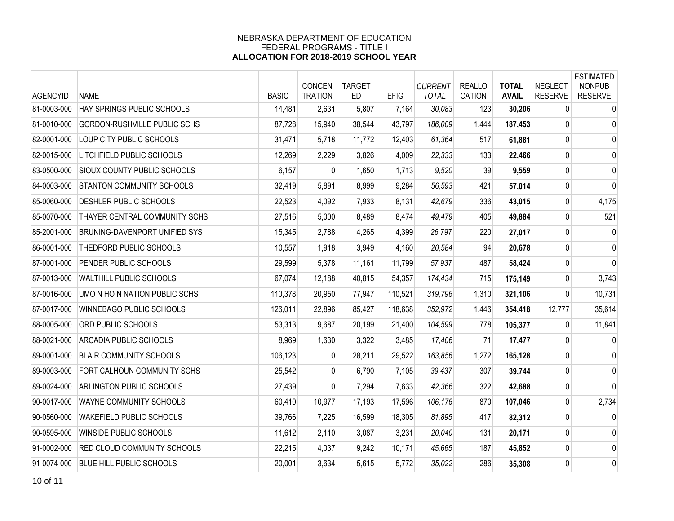| <b>AGENCYID</b> | <b>NAME</b>                        | <b>BASIC</b> | CONCEN<br><b>TRATION</b> | <b>TARGET</b><br><b>ED</b> | <b>EFIG</b> | <b>CURRENT</b><br><b>TOTAL</b> | <b>REALLO</b><br><b>CATION</b> | <b>TOTAL</b><br><b>AVAIL</b> | <b>NEGLECT</b><br><b>RESERVE</b> | <b>ESTIMATED</b><br><b>NONPUB</b><br><b>RESERVE</b> |
|-----------------|------------------------------------|--------------|--------------------------|----------------------------|-------------|--------------------------------|--------------------------------|------------------------------|----------------------------------|-----------------------------------------------------|
| 81-0003-000     | HAY SPRINGS PUBLIC SCHOOLS         | 14,481       | 2,631                    | 5,807                      | 7,164       | 30,083                         | 123                            | 30,206                       | 0                                | 0                                                   |
| 81-0010-000     | GORDON-RUSHVILLE PUBLIC SCHS       | 87,728       | 15,940                   | 38,544                     | 43,797      | 186,009                        | 1,444                          | 187,453                      | 0                                | $\mathbf 0$                                         |
| 82-0001-000     | LOUP CITY PUBLIC SCHOOLS           | 31,471       | 5,718                    | 11,772                     | 12,403      | 61,364                         | 517                            | 61,881                       | $\overline{0}$                   | $\mathbf 0$                                         |
| 82-0015-000     | LITCHFIELD PUBLIC SCHOOLS          | 12,269       | 2,229                    | 3,826                      | 4,009       | 22,333                         | 133                            | 22,466                       | $\mathbf 0$                      | 0                                                   |
| 83-0500-000     | <b>SIOUX COUNTY PUBLIC SCHOOLS</b> | 6,157        | 0                        | 1,650                      | 1,713       | 9,520                          | 39                             | 9,559                        | 0                                | $\mathbf 0$                                         |
| 84-0003-000     | STANTON COMMUNITY SCHOOLS          | 32,419       | 5,891                    | 8,999                      | 9,284       | 56,593                         | 421                            | 57,014                       | $\mathbf{0}$                     | $\mathbf 0$                                         |
| 85-0060-000     | DESHLER PUBLIC SCHOOLS             | 22,523       | 4,092                    | 7,933                      | 8,131       | 42,679                         | 336                            | 43,015                       | 0                                | 4,175                                               |
| 85-0070-000     | THAYER CENTRAL COMMUNITY SCHS      | 27,516       | 5,000                    | 8,489                      | 8,474       | 49,479                         | 405                            | 49,884                       | 0                                | 521                                                 |
| 85-2001-000     | BRUNING-DAVENPORT UNIFIED SYS      | 15,345       | 2,788                    | 4,265                      | 4,399       | 26,797                         | 220                            | 27,017                       | $\mathbf 0$                      | $\mathbf 0$                                         |
| 86-0001-000     | THEDFORD PUBLIC SCHOOLS            | 10,557       | 1,918                    | 3,949                      | 4,160       | 20,584                         | 94                             | 20,678                       | $\overline{0}$                   | $\mathbf 0$                                         |
| 87-0001-000     | PENDER PUBLIC SCHOOLS              | 29,599       | 5,378                    | 11,161                     | 11,799      | 57,937                         | 487                            | 58,424                       | 0                                | $\mathbf 0$                                         |
| 87-0013-000     | <b>WALTHILL PUBLIC SCHOOLS</b>     | 67,074       | 12,188                   | 40,815                     | 54,357      | 174,434                        | 715                            | 175,149                      | 0                                | 3,743                                               |
| 87-0016-000     | UMO N HO N NATION PUBLIC SCHS      | 110,378      | 20,950                   | 77,947                     | 110,521     | 319,796                        | 1,310                          | 321,106                      | 0                                | 10,731                                              |
| 87-0017-000     | WINNEBAGO PUBLIC SCHOOLS           | 126,011      | 22,896                   | 85,427                     | 118,638     | 352,972                        | 1,446                          | 354,418                      | 12,777                           | 35,614                                              |
| 88-0005-000     | ORD PUBLIC SCHOOLS                 | 53,313       | 9,687                    | 20,199                     | 21,400      | 104,599                        | 778                            | 105,377                      | $\mathbf{0}$                     | 11,841                                              |
| 88-0021-000     | ARCADIA PUBLIC SCHOOLS             | 8,969        | 1,630                    | 3,322                      | 3,485       | 17,406                         | 71                             | 17,477                       | $\overline{0}$                   | 0                                                   |
| 89-0001-000     | <b>BLAIR COMMUNITY SCHOOLS</b>     | 106,123      | 0                        | 28,211                     | 29,522      | 163,856                        | 1,272                          | 165,128                      | $\overline{0}$                   | 0                                                   |
| 89-0003-000     | FORT CALHOUN COMMUNITY SCHS        | 25,542       | $\mathbf{0}$             | 6,790                      | 7,105       | 39,437                         | 307                            | 39,744                       | $\mathbf 0$                      | $\mathbf 0$                                         |
| 89-0024-000     | ARLINGTON PUBLIC SCHOOLS           | 27,439       | 0                        | 7,294                      | 7,633       | 42,366                         | 322                            | 42,688                       | $\mathbf 0$                      | $\mathbf{0}$                                        |
| 90-0017-000     | WAYNE COMMUNITY SCHOOLS            | 60,410       | 10,977                   | 17,193                     | 17,596      | 106,176                        | 870                            | 107,046                      | $\mathbf 0$                      | 2,734                                               |
| 90-0560-000     | WAKEFIELD PUBLIC SCHOOLS           | 39,766       | 7,225                    | 16,599                     | 18,305      | 81,895                         | 417                            | 82,312                       | $\mathbf{0}$                     | 0                                                   |
| 90-0595-000     | WINSIDE PUBLIC SCHOOLS             | 11,612       | 2,110                    | 3,087                      | 3,231       | 20,040                         | 131                            | 20,171                       | $\mathbf 0$                      | $\mathbf 0$                                         |
| 91-0002-000     | <b>RED CLOUD COMMUNITY SCHOOLS</b> | 22,215       | 4,037                    | 9,242                      | 10,171      | 45,665                         | 187                            | 45,852                       | 0                                | 0                                                   |
| 91-0074-000     | <b>BLUE HILL PUBLIC SCHOOLS</b>    | 20,001       | 3,634                    | 5,615                      | 5,772       | 35,022                         | 286                            | 35,308                       | 0                                | $\mathbf 0$                                         |